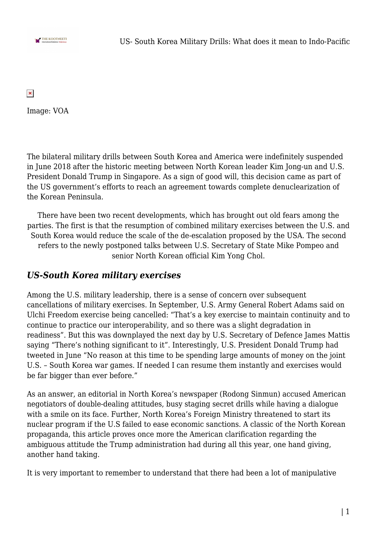

 $\pmb{\times}$ 

Image: VOA

The bilateral military drills between South Korea and America were indefinitely suspended in June 2018 after the historic meeting between North Korean leader Kim Jong-un and U.S. President Donald Trump in Singapore. As a sign of good will, this decision came as part of the US government's efforts to reach an agreement towards complete denuclearization of the Korean Peninsula.

There have been two recent developments, which has brought out old fears among the parties. The first is that the resumption of combined military exercises between the U.S. and South Korea would reduce the scale of the de-escalation proposed by the USA. The second refers to the newly postponed talks between U.S. Secretary of State Mike Pompeo and senior North Korean official Kim Yong Chol.

### *US-South Korea military exercises*

Among the U.S. military leadership, there is a sense of concern over subsequent cancellations of military exercises. In September, U.S. Army General Robert Adams said on Ulchi Freedom exercise being cancelled: "That's a key exercise to maintain continuity and to continue to practice our interoperability, and so there was a slight degradation in readiness". But this was downplayed the next day by U.S. Secretary of Defence James Mattis saying "There's nothing significant to it". Interestingly, U.S. President Donald Trump had tweeted in June "No reason at this time to be spending large amounts of money on the joint U.S. – South Korea war games. If needed I can resume them instantly and exercises would be far bigger than ever before."

As an answer, an editorial in North Korea's newspaper (Rodong Sinmun) accused American negotiators of double-dealing attitudes, busy staging secret drills while having a dialogue with a smile on its face. Further, North Korea's Foreign Ministry threatened to start its nuclear program if the U.S failed to ease economic sanctions. A classic of the North Korean propaganda, this article proves once more the American clarification regarding the ambiguous attitude the Trump administration had during all this year, one hand giving, another hand taking.

It is very important to remember to understand that there had been a lot of manipulative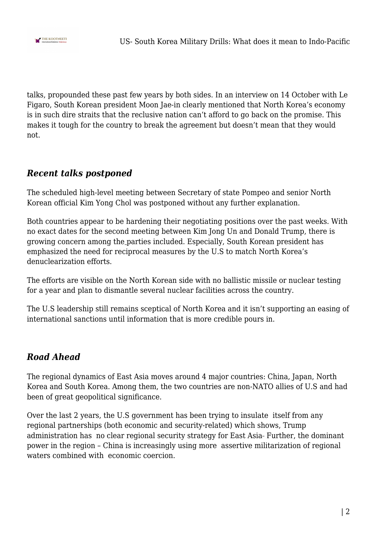

talks, propounded these past few years by both sides. In an interview on 14 October with Le Figaro, South Korean president Moon Jae-in clearly mentioned that North Korea's economy is in such dire straits that the reclusive nation can't afford to go back on the promise. This makes it tough for the country to break the agreement but doesn't mean that they would not.

## *Recent talks postponed*

The scheduled high-level meeting between Secretary of state Pompeo and senior North Korean official Kim Yong Chol was postponed without any further explanation.

Both countries appear to be hardening their negotiating positions over the past weeks. With no exact dates for the second meeting between Kim Jong Un and Donald Trump, there is growing concern among the parties included. Especially, South Korean president has emphasized the need for reciprocal measures by the U.S to match North Korea's denuclearization efforts.

The efforts are visible on the North Korean side with no ballistic missile or nuclear testing for a year and plan to dismantle several nuclear facilities across the country.

The U.S leadership still remains sceptical of North Korea and it isn't supporting an easing of international sanctions until information that is more credible pours in.

# *Road Ahead*

The regional dynamics of East Asia moves around 4 major countries: China, Japan, North Korea and South Korea. Among them, the two countries are non-NATO allies of U.S and had been of great geopolitical significance.

Over the last 2 years, the U.S government has been trying to insulate itself from any regional partnerships (both economic and security-related) which shows, Trump administration has no clear regional security strategy for East Asia-Further, the dominant power in the region – China is increasingly using more assertive militarization of regional waters combined with economic coercion.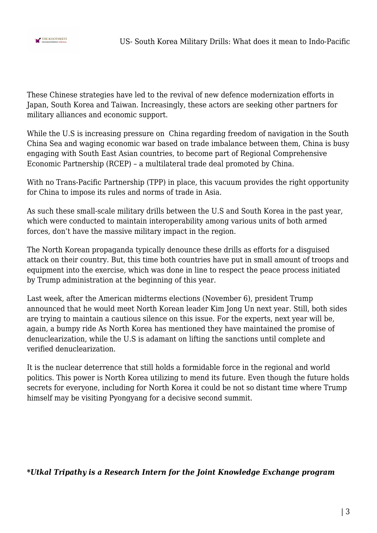

These Chinese strategies have led to the revival of new defence modernization efforts in Japan, South Korea and Taiwan. Increasingly, these actors are seeking other partners for military alliances and economic support.

While the U.S is increasing pressure on China regarding freedom of navigation in the South China Sea and waging economic war based on trade imbalance between them, China is busy engaging with South East Asian countries, to become part of Regional Comprehensive Economic Partnership (RCEP) – a multilateral trade deal promoted by China.

With no Trans-Pacific Partnership (TPP) in place, this vacuum provides the right opportunity for China to impose its rules and norms of trade in Asia.

As such these small-scale military drills between the U.S and South Korea in the past year, which were conducted to maintain interoperability among various units of both armed forces, don't have the massive military impact in the region.

The North Korean propaganda typically denounce these drills as efforts for a disguised attack on their country. But, this time both countries have put in small amount of troops and equipment into the exercise, which was done in line to respect the peace process initiated by Trump administration at the beginning of this year.

Last week, after the American midterms elections (November 6), president Trump announced that he would meet North Korean leader Kim Jong Un next year. Still, both sides are trying to maintain a cautious silence on this issue. For the experts, next year will be, again, a bumpy ride As North Korea has mentioned they have maintained the promise of denuclearization, while the U.S is adamant on lifting the sanctions until complete and verified denuclearization.

It is the nuclear deterrence that still holds a formidable force in the regional and world politics. This power is North Korea utilizing to mend its future. Even though the future holds secrets for everyone, including for North Korea it could be not so distant time where Trump himself may be visiting Pyongyang for a decisive second summit.

#### *\*Utkal Tripathy is a Research Intern for the Joint Knowledge Exchange program*